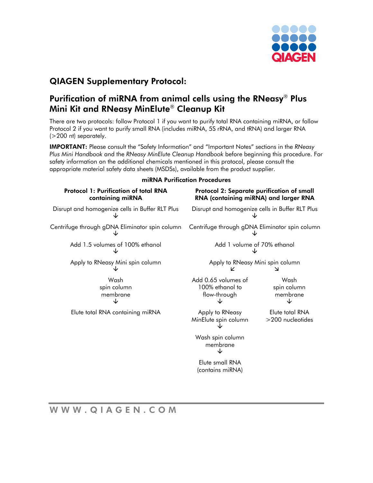

# QIAGEN Supplementary Protocol:

## Purification of miRNA from animal cells using the RNeasy® Plus Mini Kit and RNeasy MinElute® Cleanup Kit

There are two protocols: follow Protocol 1 if you want to purify total RNA containing miRNA, or follow Protocol 2 if you want to purify small RNA (includes miRNA, 5S rRNA, and tRNA) and larger RNA (>200 nt) separately.

IMPORTANT: Please consult the "Safety Information" and "Important Notes" sections in the *RNeasy Plus Mini Handbook* and the *RNeasy MinElute Cleanup Handbook* before beginning this procedure. For safety information on the additional chemicals mentioned in this protocol, please consult the appropriate material safety data sheets (MSDSs), available from the product supplier.

|                                                                  | IIIININA FUHIKUHUH FIOLEUUIES                                                       |                                     |
|------------------------------------------------------------------|-------------------------------------------------------------------------------------|-------------------------------------|
| <b>Protocol 1: Purification of total RNA</b><br>containing miRNA | Protocol 2: Separate purification of small<br>RNA (containing miRNA) and larger RNA |                                     |
| Disrupt and homogenize cells in Buffer RLT Plus                  | Disrupt and homogenize cells in Buffer RLT Plus                                     |                                     |
| Centrifuge through gDNA Eliminator spin column                   | Centrifuge through gDNA Eliminator spin column                                      |                                     |
| Add 1.5 volumes of 100% ethanol                                  | Add 1 volume of 70% ethanol                                                         |                                     |
| Apply to RNeasy Mini spin column                                 | Apply to RNeasy Mini spin column<br>K<br>↘                                          |                                     |
| Wash<br>spin column<br>membrane                                  | Add 0.65 volumes of<br>100% ethanol to<br>flow-through                              | Wash<br>spin column<br>membrane     |
| Elute total RNA containing miRNA                                 | Apply to RNeasy<br>MinElute spin column                                             | Elute total RNA<br>>200 nucleotides |
|                                                                  | Wash spin column<br>membrane                                                        |                                     |
|                                                                  | Elute small RNA<br>(contains miRNA)                                                 |                                     |
|                                                                  |                                                                                     |                                     |

miRNA Purification Procedures

WWW.QIAGEN.COM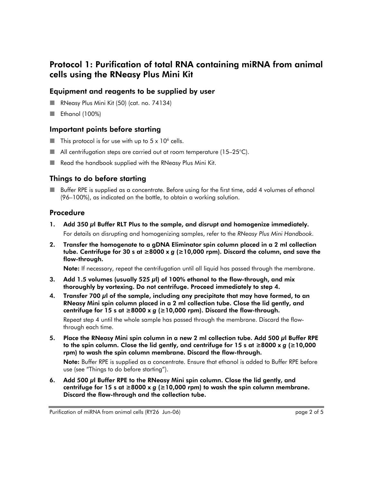# Protocol 1: Purification of total RNA containing miRNA from animal cells using the RNeasy Plus Mini Kit

### Equipment and reagents to be supplied by user

- RNeasy Plus Mini Kit (50) (cat. no. 74134)
- Ethanol  $(100\%)$

### Important points before starting

- $\blacksquare$  This protocol is for use with up to 5 x 10<sup>6</sup> cells.
- $\blacksquare$  All centrifugation steps are carried out at room temperature (15–25 $^{\circ}$ C).
- Read the handbook supplied with the RNeasy Plus Mini Kit.

### Things to do before starting

**Buffer RPE** is supplied as a concentrate. Before using for the first time, add 4 volumes of ethanol (96–100%), as indicated on the bottle, to obtain a working solution.

### Procedure

- 1. Add 350 μl Buffer RLT Plus to the sample, and disrupt and homogenize immediately. For details on disrupting and homogenizing samples, refer to the *RNeasy Plus Mini Handbook*.
- 2. Transfer the homogenate to a gDNA Eliminator spin column placed in a 2 ml collection tube. Centrifuge for 30 s at ≥8000 x *g* (≥10,000 rpm). Discard the column, and save the flow-through.

Note: If necessary, repeat the centrifugation until all liquid has passed through the membrane.

- 3. Add 1.5 volumes (usually 525  $\mu$ l) of 100% ethanol to the flow-through, and mix thoroughly by vortexing. Do not centrifuge. Proceed immediately to step 4.
- 4. Transfer 700 μl of the sample, including any precipitate that may have formed, to an RNeasy Mini spin column placed in a 2 ml collection tube. Close the lid gently, and centrifuge for 15 s at ≥8000 x *g* (≥10,000 rpm). Discard the flow-through.

Repeat step 4 until the whole sample has passed through the membrane. Discard the flowthrough each time.

5. Place the RNeasy Mini spin column in a new 2 ml collection tube. Add 500 μl Buffer RPE to the spin column. Close the lid gently, and centrifuge for 15 s at ≥8000 x *g* (≥10,000 rpm) to wash the spin column membrane. Discard the flow-through.

Note: Buffer RPE is supplied as a concentrate. Ensure that ethanol is added to Buffer RPE before use (see "Things to do before starting").

6. Add 500 μl Buffer RPE to the RNeasy Mini spin column. Close the lid gently, and centrifuge for 15 s at ≥8000 x *g* (≥10,000 rpm) to wash the spin column membrane. Discard the flow-through and the collection tube.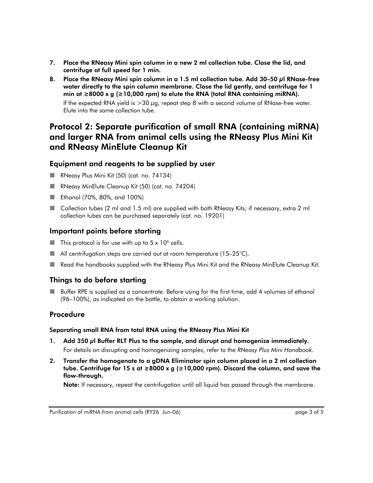- 7. Place the RNeasy Mini spin column in a new 2 ml collection tube. Close the lid, and centrifuge at full speed for 1 min.
- 8. Place the RNeasy Mini spin column in a 1.5 ml collection tube. Add 30–50 μl RNase-free water directly to the spin column membrane. Close the lid gently, and centrifuge for 1 min at ≥8000 x *g* (≥10,000 rpm) to elute the RNA (total RNA containing miRNA).

If the expected RNA yield is >30 μg, repeat step 8 with a second volume of RNase-free water. Elute into the same collection tube.

## Protocol 2: Separate purification of small RNA (containing miRNA) and larger RNA from animal cells using the RNeasy Plus Mini Kit and RNeasy MinElute Cleanup Kit

#### Equipment and reagents to be supplied by user

- RNeasy Plus Mini Kit (50) (cat. no. 74134)
- RNeasy MinElute Cleanup Kit (50) (cat. no. 74204)
- Ethanol (70%, 80%, and 100%)
- Collection tubes (2 ml and 1.5 ml) are supplied with both RNeasy Kits; if necessary, extra 2 ml collection tubes can be purchased separately (cat. no. 19201)

#### Important points before starting

- $\blacksquare$  This protocol is for use with up to 5 x 10<sup>6</sup> cells.
- $\blacksquare$  All centrifugation steps are carried out at room temperature (15–25°C).
- Read the handbooks supplied with the RNeasy Plus Mini Kit and the RNeasy MinElute Cleanup Kit.

### Things to do before starting

 Buffer RPE is supplied as a concentrate. Before using for the first time, add 4 volumes of ethanol (96–100%), as indicated on the bottle, to obtain a working solution.

### Procedure

#### Separating small RNA from total RNA using the RNeasy Plus Mini Kit

- 1. Add 350 μl Buffer RLT Plus to the sample, and disrupt and homogenize immediately. For details on disrupting and homogenizing samples, refer to the *RNeasy Plus Mini Handbook*.
- 2. Transfer the homogenate to a gDNA Eliminator spin column placed in a 2 ml collection tube. Centrifuge for 15 s at ≥8000 x *g* (≥10,000 rpm). Discard the column, and save the flow-through.

Note: If necessary, repeat the centrifugation until all liquid has passed through the membrane.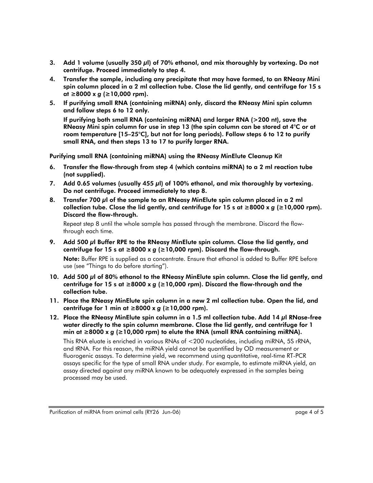- 3. Add 1 volume (usually 350 μl) of 70% ethanol, and mix thoroughly by vortexing. Do not centrifuge. Proceed immediately to step 4.
- 4. Transfer the sample, including any precipitate that may have formed, to an RNeasy Mini spin column placed in a 2 ml collection tube. Close the lid gently, and centrifuge for 15 s at ≥8000 x *g* (≥10,000 rpm).
- 5. If purifying small RNA (containing miRNA) only, discard the RNeasy Mini spin column and follow steps 6 to 12 only.

If purifying both small RNA (containing miRNA) and larger RNA (>200 nt), save the RNeasy Mini spin column for use in step 13 (the spin column can be stored at 4°C or at room temperature [15–25°C], but not for long periods). Follow steps 6 to 12 to purify small RNA, and then steps 13 to 17 to purify larger RNA.

Purifying small RNA (containing miRNA) using the RNeasy MinElute Cleanup Kit

- 6. Transfer the flow-through from step 4 (which contains miRNA) to a 2 ml reaction tube (not supplied).
- 7. Add 0.65 volumes (usually 455 μl) of 100% ethanol, and mix thoroughly by vortexing. Do not centrifuge. Proceed immediately to step 8.
- 8. Transfer 700 μl of the sample to an RNeasy MinElute spin column placed in a 2 ml collection tube. Close the lid gently, and centrifuge for 15 s at ≥8000 x *g* (≥10,000 rpm). Discard the flow-through.

Repeat step 8 until the whole sample has passed through the membrane. Discard the flowthrough each time.

9. Add 500 μl Buffer RPE to the RNeasy MinElute spin column. Close the lid gently, and centrifuge for 15 s at  $\geq$ 8000 x g ( $\geq$ 10,000 rpm). Discard the flow-through.

Note: Buffer RPE is supplied as a concentrate. Ensure that ethanol is added to Buffer RPE before use (see "Things to do before starting").

- 10. Add 500 μl of 80% ethanol to the RNeasy MinElute spin column. Close the lid gently, and centrifuge for 15 s at ≥8000 x *g* (≥10,000 rpm). Discard the flow-through and the collection tube.
- 11. Place the RNeasy MinElute spin column in a new 2 ml collection tube. Open the lid, and centrifuge for 1 min at ≥8000 x *g* (≥10,000 rpm).
- 12. Place the RNeasy MinElute spin column in a 1.5 ml collection tube. Add 14  $\mu$ l RNase-free water directly to the spin column membrane. Close the lid gently, and centrifuge for 1 min at ≥8000 x *g* (≥10,000 rpm) to elute the RNA (small RNA containing miRNA).

This RNA eluate is enriched in various RNAs of <200 nucleotides, including miRNA, 5S rRNA, and tRNA. For this reason, the miRNA yield cannot be quantified by OD measurement or fluorogenic assays. To determine yield, we recommend using quantitative, real-time RT-PCR assays specific for the type of small RNA under study. For example, to estimate miRNA yield, an assay directed against any miRNA known to be adequately expressed in the samples being processed may be used.